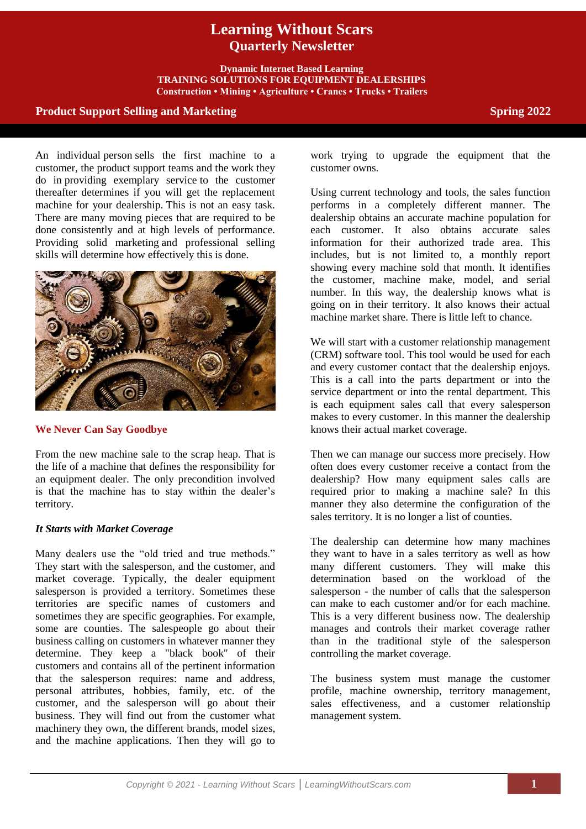# **Learning Without Scars Quarterly Newsletter**

**Dynamic Internet Based Learning TRAINING SOLUTIONS FOR EQUIPMENT DEALERSHIPS Construction • Mining • Agriculture • Cranes • Trucks • Trailers**

## **Product Support Selling and Marketing <b>Spring 2022** Spring 2022

An individual person sells the first machine to a customer, the product support teams and the work they do in providing exemplary service to the customer thereafter determines if you will get the replacement machine for your dealership. This is not an easy task. There are many moving pieces that are required to be done consistently and at high levels of performance. Providing solid marketing and professional selling skills will determine how effectively this is done.



## **We Never Can Say Goodbye**

From the new machine sale to the scrap heap. That is the life of a machine that defines the responsibility for an equipment dealer. The only precondition involved is that the machine has to stay within the dealer's territory.

## *It Starts with Market Coverage*

Many dealers use the "old tried and true methods." They start with the salesperson, and the customer, and market coverage. Typically, the dealer equipment salesperson is provided a territory. Sometimes these territories are specific names of customers and sometimes they are specific geographies. For example, some are counties. The salespeople go about their business calling on customers in whatever manner they determine. They keep a "black book" of their customers and contains all of the pertinent information that the salesperson requires: name and address, personal attributes, hobbies, family, etc. of the customer, and the salesperson will go about their business. They will find out from the customer what machinery they own, the different brands, model sizes, and the machine applications. Then they will go to

work trying to upgrade the equipment that the customer owns.

Using current technology and tools, the sales function performs in a completely different manner. The dealership obtains an accurate machine population for each customer. It also obtains accurate sales information for their authorized trade area. This includes, but is not limited to, a monthly report showing every machine sold that month. It identifies the customer, machine make, model, and serial number. In this way, the dealership knows what is going on in their territory. It also knows their actual machine market share. There is little left to chance.

We will start with a customer relationship management (CRM) software tool. This tool would be used for each and every customer contact that the dealership enjoys. This is a call into the parts department or into the service department or into the rental department. This is each equipment sales call that every salesperson makes to every customer. In this manner the dealership knows their actual market coverage.

Then we can manage our success more precisely. How often does every customer receive a contact from the dealership? How many equipment sales calls are required prior to making a machine sale? In this manner they also determine the configuration of the sales territory. It is no longer a list of counties.

The dealership can determine how many machines they want to have in a sales territory as well as how many different customers. They will make this determination based on the workload of the salesperson - the number of calls that the salesperson can make to each customer and/or for each machine. This is a very different business now. The dealership manages and controls their market coverage rather than in the traditional style of the salesperson controlling the market coverage.

The business system must manage the customer profile, machine ownership, territory management, sales effectiveness, and a customer relationship management system.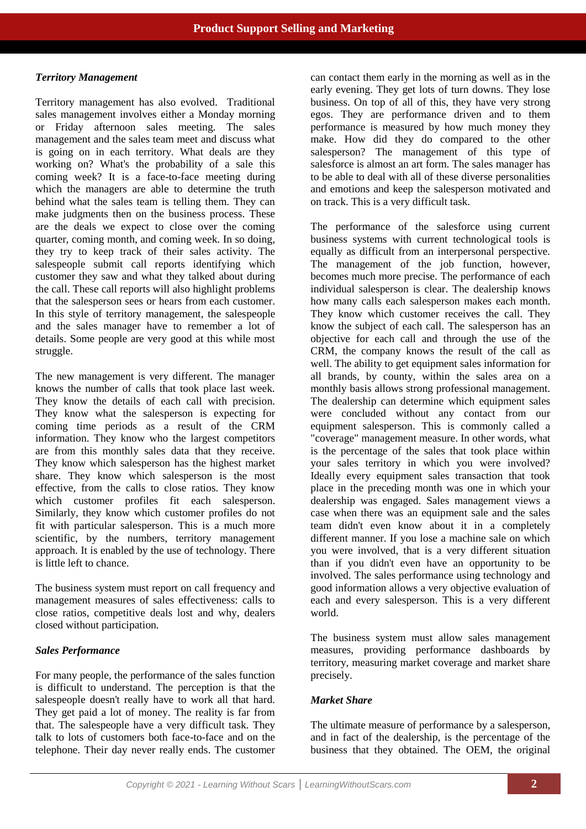#### *Territory Management*

Territory management has also evolved. Traditional sales management involves either a Monday morning or Friday afternoon sales meeting. The sales management and the sales team meet and discuss what is going on in each territory. What deals are they working on? What's the probability of a sale this coming week? It is a face-to-face meeting during which the managers are able to determine the truth behind what the sales team is telling them. They can make judgments then on the business process. These are the deals we expect to close over the coming quarter, coming month, and coming week. In so doing, they try to keep track of their sales activity. The salespeople submit call reports identifying which customer they saw and what they talked about during the call. These call reports will also highlight problems that the salesperson sees or hears from each customer. In this style of territory management, the salespeople and the sales manager have to remember a lot of details. Some people are very good at this while most struggle.

The new management is very different. The manager knows the number of calls that took place last week. They know the details of each call with precision. They know what the salesperson is expecting for coming time periods as a result of the CRM information. They know who the largest competitors are from this monthly sales data that they receive. They know which salesperson has the highest market share. They know which salesperson is the most effective, from the calls to close ratios. They know which customer profiles fit each salesperson. Similarly, they know which customer profiles do not fit with particular salesperson. This is a much more scientific, by the numbers, territory management approach. It is enabled by the use of technology. There is little left to chance.

The business system must report on call frequency and management measures of sales effectiveness: calls to close ratios, competitive deals lost and why, dealers closed without participation.

## *Sales Performance*

For many people, the performance of the sales function is difficult to understand. The perception is that the salespeople doesn't really have to work all that hard. They get paid a lot of money. The reality is far from that. The salespeople have a very difficult task. They talk to lots of customers both face-to-face and on the telephone. Their day never really ends. The customer can contact them early in the morning as well as in the early evening. They get lots of turn downs. They lose business. On top of all of this, they have very strong egos. They are performance driven and to them performance is measured by how much money they make. How did they do compared to the other salesperson? The management of this type of salesforce is almost an art form. The sales manager has to be able to deal with all of these diverse personalities and emotions and keep the salesperson motivated and on track. This is a very difficult task.

The performance of the salesforce using current business systems with current technological tools is equally as difficult from an interpersonal perspective. The management of the job function, however, becomes much more precise. The performance of each individual salesperson is clear. The dealership knows how many calls each salesperson makes each month. They know which customer receives the call. They know the subject of each call. The salesperson has an objective for each call and through the use of the CRM, the company knows the result of the call as well. The ability to get equipment sales information for all brands, by county, within the sales area on a monthly basis allows strong professional management. The dealership can determine which equipment sales were concluded without any contact from our equipment salesperson. This is commonly called a "coverage" management measure. In other words, what is the percentage of the sales that took place within your sales territory in which you were involved? Ideally every equipment sales transaction that took place in the preceding month was one in which your dealership was engaged. Sales management views a case when there was an equipment sale and the sales team didn't even know about it in a completely different manner. If you lose a machine sale on which you were involved, that is a very different situation than if you didn't even have an opportunity to be involved. The sales performance using technology and good information allows a very objective evaluation of each and every salesperson. This is a very different world.

The business system must allow sales management measures, providing performance dashboards by territory, measuring market coverage and market share precisely.

## *Market Share*

The ultimate measure of performance by a salesperson, and in fact of the dealership, is the percentage of the business that they obtained. The OEM, the original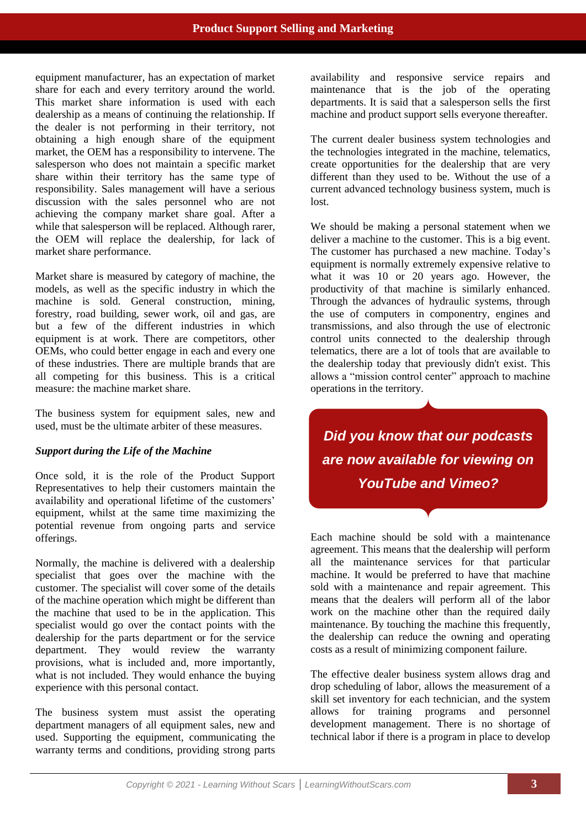equipment manufacturer, has an expectation of market share for each and every territory around the world. This market share information is used with each dealership as a means of continuing the relationship. If the dealer is not performing in their territory, not obtaining a high enough share of the equipment market, the OEM has a responsibility to intervene. The salesperson who does not maintain a specific market share within their territory has the same type of responsibility. Sales management will have a serious discussion with the sales personnel who are not achieving the company market share goal. After a while that salesperson will be replaced. Although rarer, the OEM will replace the dealership, for lack of market share performance.

Market share is measured by category of machine, the models, as well as the specific industry in which the machine is sold. General construction, mining, forestry, road building, sewer work, oil and gas, are but a few of the different industries in which equipment is at work. There are competitors, other OEMs, who could better engage in each and every one of these industries. There are multiple brands that are all competing for this business. This is a critical measure: the machine market share.

The business system for equipment sales, new and used, must be the ultimate arbiter of these measures.

## *Support during the Life of the Machine*

Once sold, it is the role of the Product Support Representatives to help their customers maintain the availability and operational lifetime of the customers' equipment, whilst at the same time maximizing the potential revenue from ongoing parts and service offerings.

Normally, the machine is delivered with a dealership specialist that goes over the machine with the customer. The specialist will cover some of the details of the machine operation which might be different than the machine that used to be in the application. This specialist would go over the contact points with the dealership for the parts department or for the service department. They would review the warranty provisions, what is included and, more importantly, what is not included. They would enhance the buying experience with this personal contact.

The business system must assist the operating department managers of all equipment sales, new and used. Supporting the equipment, communicating the warranty terms and conditions, providing strong parts

availability and responsive service repairs and maintenance that is the job of the operating departments. It is said that a salesperson sells the first machine and product support sells everyone thereafter.

The current dealer business system technologies and the technologies integrated in the machine, telematics, create opportunities for the dealership that are very different than they used to be. Without the use of a current advanced technology business system, much is lost.

We should be making a personal statement when we deliver a machine to the customer. This is a big event. The customer has purchased a new machine. Today's equipment is normally extremely expensive relative to what it was 10 or 20 years ago. However, the productivity of that machine is similarly enhanced. Through the advances of hydraulic systems, through the use of computers in componentry, engines and transmissions, and also through the use of electronic control units connected to the dealership through telematics, there are a lot of tools that are available to the dealership today that previously didn't exist. This allows a "mission control center" approach to machine operations in the territory.

*Did you know that our podcasts are now available for viewing on YouTube and Vimeo?*

Each machine should be sold with a maintenance agreement. This means that the dealership will perform all the maintenance services for that particular machine. It would be preferred to have that machine sold with a maintenance and repair agreement. This means that the dealers will perform all of the labor work on the machine other than the required daily maintenance. By touching the machine this frequently, the dealership can reduce the owning and operating costs as a result of minimizing component failure.

The effective dealer business system allows drag and drop scheduling of labor, allows the measurement of a skill set inventory for each technician, and the system allows for training programs and personnel development management. There is no shortage of technical labor if there is a program in place to develop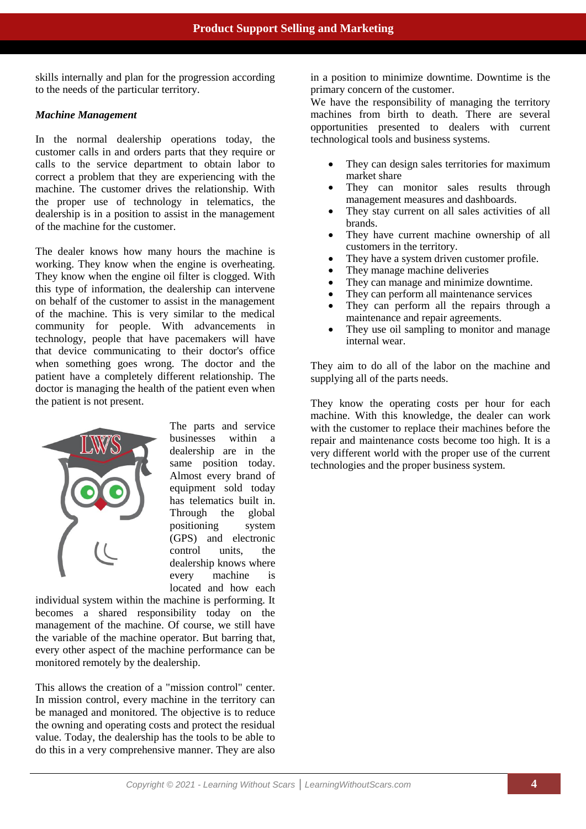skills internally and plan for the progression according to the needs of the particular territory.

#### *Machine Management*

In the normal dealership operations today, the customer calls in and orders parts that they require or calls to the service department to obtain labor to correct a problem that they are experiencing with the machine. The customer drives the relationship. With the proper use of technology in telematics, the dealership is in a position to assist in the management of the machine for the customer.

The dealer knows how many hours the machine is working. They know when the engine is overheating. They know when the engine oil filter is clogged. With this type of information, the dealership can intervene on behalf of the customer to assist in the management of the machine. This is very similar to the medical community for people. With advancements in technology, people that have pacemakers will have that device communicating to their doctor's office when something goes wrong. The doctor and the patient have a completely different relationship. The doctor is managing the health of the patient even when the patient is not present.



The parts and service businesses within a dealership are in the same position today. Almost every brand of equipment sold today has telematics built in. Through the global positioning system (GPS) and electronic control units, the dealership knows where every machine is located and how each

individual system within the machine is performing. It becomes a shared responsibility today on the management of the machine. Of course, we still have the variable of the machine operator. But barring that, every other aspect of the machine performance can be monitored remotely by the dealership.

This allows the creation of a "mission control" center. In mission control, every machine in the territory can be managed and monitored. The objective is to reduce the owning and operating costs and protect the residual value. Today, the dealership has the tools to be able to do this in a very comprehensive manner. They are also

in a position to minimize downtime. Downtime is the primary concern of the customer.

We have the responsibility of managing the territory machines from birth to death. There are several opportunities presented to dealers with current technological tools and business systems.

- They can design sales territories for maximum market share
- They can monitor sales results through management measures and dashboards.
- They stay current on all sales activities of all brands.
- They have current machine ownership of all customers in the territory.
- They have a system driven customer profile.
- They manage machine deliveries
- They can manage and minimize downtime.
- They can perform all maintenance services
- They can perform all the repairs through a maintenance and repair agreements.
- They use oil sampling to monitor and manage internal wear.

They aim to do all of the labor on the machine and supplying all of the parts needs.

They know the operating costs per hour for each machine. With this knowledge, the dealer can work with the customer to replace their machines before the repair and maintenance costs become too high. It is a very different world with the proper use of the current technologies and the proper business system.